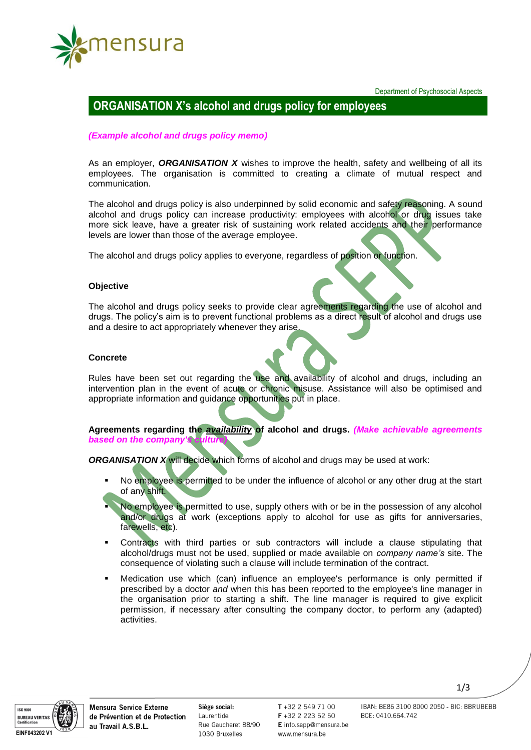

Department of Psychosocial Aspects

# **ORGANISATION X's alcohol and drugs policy for employees**

## *(Example alcohol and drugs policy memo)*

As an employer, *ORGANISATION X* wishes to improve the health, safety and wellbeing of all its employees. The organisation is committed to creating a climate of mutual respect and communication.

The alcohol and drugs policy is also underpinned by solid economic and safety reasoning. A sound alcohol and drugs policy can increase productivity: employees with alcohol or drug issues take more sick leave, have a greater risk of sustaining work related accidents and their performance levels are lower than those of the average employee.

The alcohol and drugs policy applies to everyone, regardless of position or function.

### **Objective**

The alcohol and drugs policy seeks to provide clear agreements regarding the use of alcohol and drugs. The policy's aim is to prevent functional problems as a direct result of alcohol and drugs use and a desire to act appropriately whenever they arise.

### **Concrete**

Rules have been set out regarding the use and availability of alcohol and drugs, including an intervention plan in the event of acute or chronic misuse. Assistance will also be optimised and appropriate information and guidance opportunities put in place.

**Agreements regarding the** *availability* **of alcohol and drugs.** *(Make achievable agreements*  **based on the company's** 

*ORGANISATION X* will decide which forms of alcohol and drugs may be used at work:

- No employee is permitted to be under the influence of alcohol or any other drug at the start of any shift.
- No employee is permitted to use, supply others with or be in the possession of any alcohol and/or drugs at work (exceptions apply to alcohol for use as gifts for anniversaries, farewells, etc).
- Contracts with third parties or sub contractors will include a clause stipulating that alcohol/drugs must not be used, supplied or made available on *company name's* site. The consequence of violating such a clause will include termination of the contract.
- Medication use which (can) influence an employee's performance is only permitted if prescribed by a doctor *and* when this has been reported to the employee's line manager in the organisation prior to starting a shift. The line manager is required to give explicit permission, if necessary after consulting the company doctor, to perform any (adapted) activities.

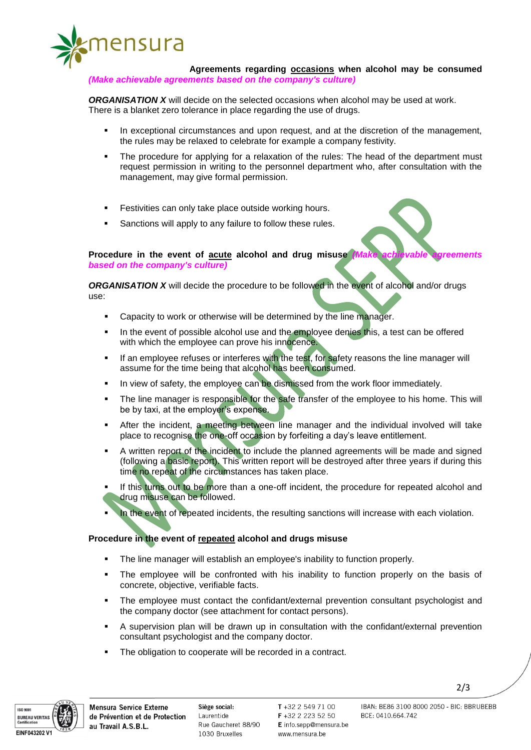

**Agreements regarding occasions when alcohol may be consumed**  *(Make achievable agreements based on the company's culture)*

*ORGANISATION X* will decide on the selected occasions when alcohol may be used at work. There is a blanket zero tolerance in place regarding the use of drugs.

- In exceptional circumstances and upon request, and at the discretion of the management, the rules may be relaxed to celebrate for example a company festivity.
- The procedure for applying for a relaxation of the rules: The head of the department must request permission in writing to the personnel department who, after consultation with the management, may give formal permission.
- Festivities can only take place outside working hours.
- Sanctions will apply to any failure to follow these rules.

**Procedure in the event of acute alcohol and drug misuse** *(Make achievable agreements based on the company's culture)*

*ORGANISATION X* will decide the procedure to be followed in the event of alcohol and/or drugs use:

- Capacity to work or otherwise will be determined by the line manager.
- In the event of possible alcohol use and the employee denies this, a test can be offered with which the employee can prove his innocence.
- **If an employee refuses or interferes with the test, for safety reasons the line manager will** assume for the time being that alcohol has been consumed.
- In view of safety, the employee can be dismissed from the work floor immediately.
- The line manager is responsible for the safe transfer of the employee to his home. This will be by taxi, at the employer's expense.
- After the incident, a meeting between line manager and the individual involved will take place to recognise the one-off occasion by forfeiting a day's leave entitlement.
- A written report of the incident to include the planned agreements will be made and signed (following a basic report). This written report will be destroyed after three years if during this time no repeat of the circumstances has taken place.
- If this turns out to be more than a one-off incident, the procedure for repeated alcohol and drug misuse can be followed.
- In the event of repeated incidents, the resulting sanctions will increase with each violation.

## **Procedure in the event of repeated alcohol and drugs misuse**

- The line manager will establish an employee's inability to function properly.
- The employee will be confronted with his inability to function properly on the basis of concrete, objective, verifiable facts.
- The employee must contact the confidant/external prevention consultant psychologist and the company doctor (see attachment for contact persons).
- A supervision plan will be drawn up in consultation with the confidant/external prevention consultant psychologist and the company doctor.
- The obligation to cooperate will be recorded in a contract.